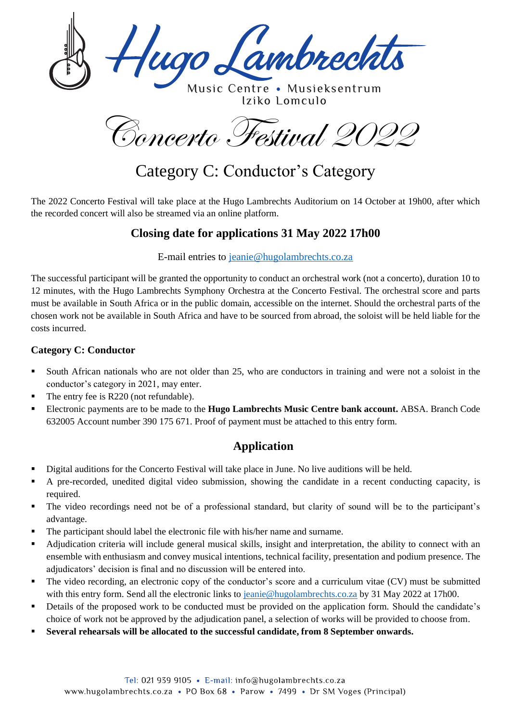ugo Lambrechts

Music Centre . Musieksentrum Iziko Lomculo

Concerto Festival 2022

# Category C: Conductor's Category

The 2022 Concerto Festival will take place at the Hugo Lambrechts Auditorium on 14 October at 19h00, after which the recorded concert will also be streamed via an online platform.

### **Closing date for applications 31 May 2022 17h00**

E-mail entries to [jeanie@hugolambrechts.co.za](mailto:jeanie@hugolambrechts.co.za)

The successful participant will be granted the opportunity to conduct an orchestral work (not a concerto), duration 10 to 12 minutes, with the Hugo Lambrechts Symphony Orchestra at the Concerto Festival. The orchestral score and parts must be available in South Africa or in the public domain, accessible on the internet. Should the orchestral parts of the chosen work not be available in South Africa and have to be sourced from abroad, the soloist will be held liable for the costs incurred.

#### **Category C: Conductor**

- South African nationals who are not older than 25, who are conductors in training and were not a soloist in the conductor's category in 2021, may enter.
- The entry fee is R220 (not refundable).
- Electronic payments are to be made to the **Hugo Lambrechts Music Centre bank account.** ABSA. Branch Code 632005 Account number 390 175 671. Proof of payment must be attached to this entry form.

## **Application**

- Digital auditions for the Concerto Festival will take place in June. No live auditions will be held.
- A pre-recorded, unedited digital video submission, showing the candidate in a recent conducting capacity, is required.
- The video recordings need not be of a professional standard, but clarity of sound will be to the participant's advantage.
- The participant should label the electronic file with his/her name and surname.
- Adjudication criteria will include general musical skills, insight and interpretation, the ability to connect with an ensemble with enthusiasm and convey musical intentions, technical facility, presentation and podium presence. The adjudicators' decision is final and no discussion will be entered into.
- The video recording, an electronic copy of the conductor's score and a curriculum vitae (CV) must be submitted with this entry form. Send all the electronic links to [jeanie@hugolambrechts.co.za](mailto:jeanie@hugolambrechts.co.za) by 31 May 2022 at 17h00.
- Details of the proposed work to be conducted must be provided on the application form. Should the candidate's choice of work not be approved by the adjudication panel, a selection of works will be provided to choose from.
- **Several rehearsals will be allocated to the successful candidate, from 8 September onwards.**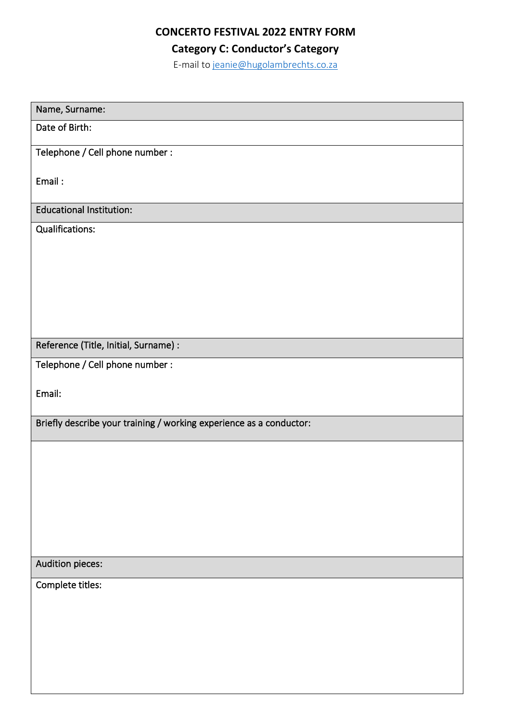## **CONCERTO FESTIVAL 2022 ENTRY FORM**

**Category C: Conductor's Category**

E-mail t[o jeanie@hugolambrechts.co.za](mailto:jeanie@hugolambrechts.co.za)

| Name, Surname:                                                      |  |  |  |  |
|---------------------------------------------------------------------|--|--|--|--|
| Date of Birth:                                                      |  |  |  |  |
| Telephone / Cell phone number :                                     |  |  |  |  |
| Email:                                                              |  |  |  |  |
| <b>Educational Institution:</b>                                     |  |  |  |  |
| Qualifications:                                                     |  |  |  |  |
| Reference (Title, Initial, Surname) :                               |  |  |  |  |
| Telephone / Cell phone number :                                     |  |  |  |  |
| Email:                                                              |  |  |  |  |
| Briefly describe your training / working experience as a conductor: |  |  |  |  |
|                                                                     |  |  |  |  |
| Audition pieces:                                                    |  |  |  |  |
| Complete titles:                                                    |  |  |  |  |